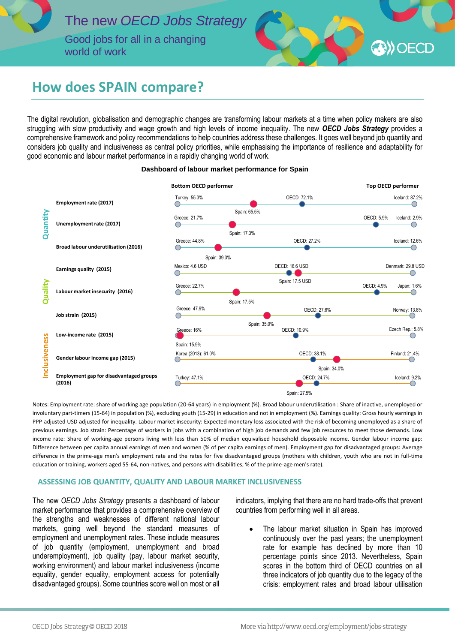

world of work

# **A**) OECD

## **How does SPAIN compare?**

The digital revolution, globalisation and demographic changes are transforming labour markets at a time when policy makers are also struggling with slow productivity and wage growth and high levels of income inequality. The new *OECD Jobs Strategy* provides a comprehensive framework and policy recommendations to help countries address these challenges. It goes well beyond job quantity and considers job quality and inclusiveness as central policy priorities, while emphasising the importance of resilience and adaptability for good economic and labour market performance in a rapidly changing world of work.



#### **Dashboard of labour market performance for Spain**

Notes: Employment rate: share of working age population (20-64 years) in employment (%). Broad labour underutilisation : Share of inactive, unemployed or involuntary part-timers (15-64) in population (%), excluding youth (15-29) in education and not in employment (%). Earnings quality: Gross hourly earnings in PPP-adjusted USD adjusted for inequality. Labour market insecurity: Expected monetary loss associated with the risk of becoming unemployed as a share of previous earnings. Job strain: Percentage of workers in jobs with a combination of high job demands and few job resources to meet those demands. Low income rate: Share of working-age persons living with less than 50% of median equivalised household disposable income. Gender labour income gap: Difference between per capita annual earnings of men and women (% of per capita earnings of men). Employment gap for disadvantaged groups: Average difference in the prime-age men's employment rate and the rates for five disadvantaged groups (mothers with children, youth who are not in full-time education or training, workers aged 55-64, non-natives, and persons with disabilities; % of the prime-age men's rate).

### **ASSESSING JOB QUANTITY, QUALITY AND LABOUR MARKET INCLUSIVENESS**

The new *OECD Jobs Strategy* presents a dashboard of labour market performance that provides a comprehensive overview of the strengths and weaknesses of different national labour markets, going well beyond the standard measures of employment and unemployment rates. These include measures of job quantity (employment, unemployment and broad underemployment), job quality (pay, labour market security, working environment) and labour market inclusiveness (income equality, gender equality, employment access for potentially disadvantaged groups). Some countries score well on most or all

indicators, implying that there are no hard trade-offs that prevent countries from performing well in all areas.

 The labour market situation in Spain has improved continuously over the past years; the unemployment rate for example has declined by more than 10 percentage points since 2013. Nevertheless, Spain scores in the bottom third of OECD countries on all three indicators of job quantity due to the legacy of the crisis: employment rates and broad labour utilisation

j